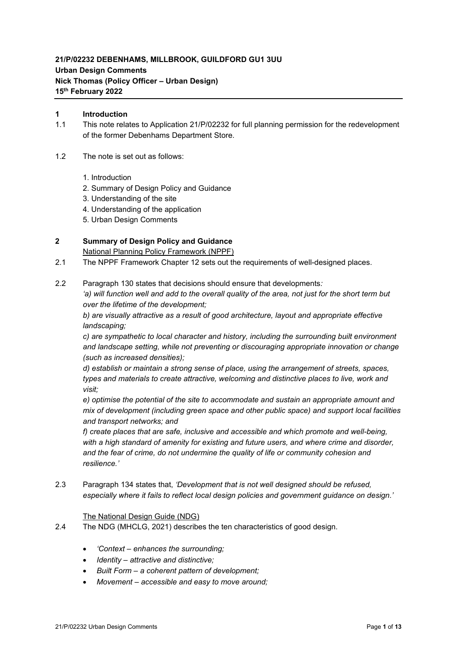# **21/P/02232 DEBENHAMS, MILLBROOK, GUILDFORD GU1 3UU Urban Design Comments Nick Thomas (Policy Officer – Urban Design) 15th February 2022**

#### **1 Introduction**

- 1.1 This note relates to Application 21/P/02232 for full planning permission for the redevelopment of the former Debenhams Department Store.
- 1.2 The note is set out as follows:
	- 1. Introduction
	- 2. Summary of Design Policy and Guidance
	- 3. Understanding of the site
	- 4. Understanding of the application
	- 5. Urban Design Comments

### **2 Summary of Design Policy and Guidance**

National Planning Policy Framework (NPPF)

- 2.1 The NPPF Framework Chapter 12 sets out the requirements of well-designed places.
- 2.2 Paragraph 130 states that decisions should ensure that developments*:*

'a) will function well and add to the overall quality of the area, not just for the short term but *over the lifetime of the development;*

*b) are visually attractive as a result of good architecture, layout and appropriate effective landscaping;*

*c) are sympathetic to local character and history, including the surrounding built environment and landscape setting, while not preventing or discouraging appropriate innovation or change (such as increased densities);*

*d) establish or maintain a strong sense of place, using the arrangement of streets, spaces, types and materials to create attractive, welcoming and distinctive places to live, work and visit;*

*e) optimise the potential of the site to accommodate and sustain an appropriate amount and mix of development (including green space and other public space) and support local facilities and transport networks; and*

*f) create places that are safe, inclusive and accessible and which promote and well-being, with a high standard of amenity for existing and future users, and where crime and disorder, and the fear of crime, do not undermine the quality of life or community cohesion and resilience.'*

2.3 Paragraph 134 states that, *'Development that is not well designed should be refused, especially where it fails to reflect local design policies and government guidance on design.'*

#### The National Design Guide (NDG)

- 2.4 The NDG (MHCLG, 2021) describes the ten characteristics of good design.
	- *'Context – enhances the surrounding;*
	- *Identity – attractive and distinctive;*
	- *Built Form – a coherent pattern of development;*
	- *Movement – accessible and easy to move around;*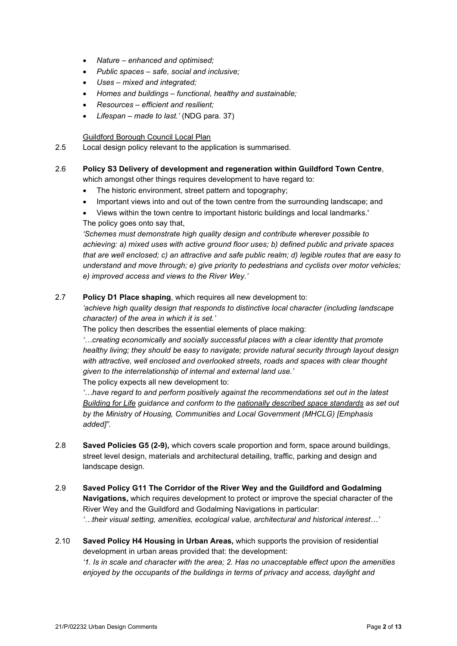- *Nature – enhanced and optimised;*
- *Public spaces – safe, social and inclusive;*
- *Uses – mixed and integrated;*
- *Homes and buildings – functional, healthy and sustainable;*
- *Resources – efficient and resilient;*
- *Lifespan – made to last.'* (NDG para. 37)

Guildford Borough Council Local Plan

2.5 Local design policy relevant to the application is summarised.

### 2.6 **Policy S3 Delivery of development and regeneration within Guildford Town Centre**,

which amongst other things requires development to have regard to:

- The historic environment, street pattern and topography;
- Important views into and out of the town centre from the surrounding landscape; and
- Views within the town centre to important historic buildings and local landmarks.' The policy goes onto say that.

*'Schemes must demonstrate high quality design and contribute wherever possible to achieving: a) mixed uses with active ground floor uses; b) defined public and private spaces that are well enclosed; c) an attractive and safe public realm; d) legible routes that are easy to understand and move through; e) give priority to pedestrians and cyclists over motor vehicles; e) improved access and views to the River Wey.'*

2.7 **Policy D1 Place shaping**, which requires all new development to:

*'achieve high quality design that responds to distinctive local character (including landscape character) of the area in which it is set.'*

The policy then describes the essential elements of place making:

*'…creating economically and socially successful places with a clear identity that promote healthy living; they should be easy to navigate; provide natural security through layout design with attractive, well enclosed and overlooked streets, roads and spaces with clear thought given to the interrelationship of internal and external land use.'*

The policy expects all new development to:

*'…have regard to and perform positively against the recommendations set out in the latest Building for Life guidance and conform to the nationally described space standards as set out by the Ministry of Housing, Communities and Local Government (MHCLG) [Emphasis added]".*

- 2.8 **Saved Policies G5 (2-9),** which covers scale proportion and form, space around buildings, street level design, materials and architectural detailing, traffic, parking and design and landscape design.
- 2.9 **Saved Policy G11 The Corridor of the River Wey and the Guildford and Godalming Navigations,** which requires development to protect or improve the special character of the River Wey and the Guildford and Godalming Navigations in particular: *'…their visual setting, amenities, ecological value, architectural and historical interest…'*
- 2.10 **Saved Policy H4 Housing in Urban Areas,** which supports the provision of residential development in urban areas provided that: the development: *'1. Is in scale and character with the area; 2. Has no unacceptable effect upon the amenities enjoyed by the occupants of the buildings in terms of privacy and access, daylight and*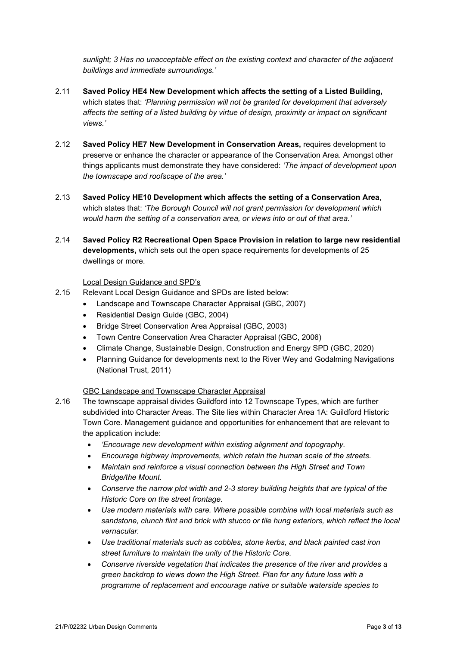*sunlight; 3 Has no unacceptable effect on the existing context and character of the adjacent buildings and immediate surroundings.'*

- 2.11 **Saved Policy HE4 New Development which affects the setting of a Listed Building,**  which states that: *'Planning permission will not be granted for development that adversely affects the setting of a listed building by virtue of design, proximity or impact on significant views.'*
- 2.12 **Saved Policy HE7 New Development in Conservation Areas,** requires development to preserve or enhance the character or appearance of the Conservation Area. Amongst other things applicants must demonstrate they have considered: *'The impact of development upon the townscape and roofscape of the area.'*
- 2.13 **Saved Policy HE10 Development which affects the setting of a Conservation Area**, which states that: *'The Borough Council will not grant permission for development which would harm the setting of a conservation area, or views into or out of that area.'*
- 2.14 **Saved Policy R2 Recreational Open Space Provision in relation to large new residential developments,** which sets out the open space requirements for developments of 25 dwellings or more.

#### Local Design Guidance and SPD's

- 2.15 Relevant Local Design Guidance and SPDs are listed below:
	- Landscape and Townscape Character Appraisal (GBC, 2007)
	- Residential Design Guide (GBC, 2004)
	- Bridge Street Conservation Area Appraisal (GBC, 2003)
	- Town Centre Conservation Area Character Appraisal (GBC, 2006)
	- Climate Change, Sustainable Design, Construction and Energy SPD (GBC, 2020)
	- Planning Guidance for developments next to the River Wey and Godalming Navigations (National Trust, 2011)

### GBC Landscape and Townscape Character Appraisal

- 2.16 The townscape appraisal divides Guildford into 12 Townscape Types, which are further subdivided into Character Areas. The Site lies within Character Area 1A: Guildford Historic Town Core. Management guidance and opportunities for enhancement that are relevant to the application include:
	- *'Encourage new development within existing alignment and topography.*
	- *Encourage highway improvements, which retain the human scale of the streets.*
	- *Maintain and reinforce a visual connection between the High Street and Town Bridge/the Mount.*
	- *Conserve the narrow plot width and 2-3 storey building heights that are typical of the Historic Core on the street frontage.*
	- *Use modern materials with care. Where possible combine with local materials such as sandstone, clunch flint and brick with stucco or tile hung exteriors, which reflect the local vernacular.*
	- *Use traditional materials such as cobbles, stone kerbs, and black painted cast iron street furniture to maintain the unity of the Historic Core.*
	- *Conserve riverside vegetation that indicates the presence of the river and provides a green backdrop to views down the High Street. Plan for any future loss with a programme of replacement and encourage native or suitable waterside species to*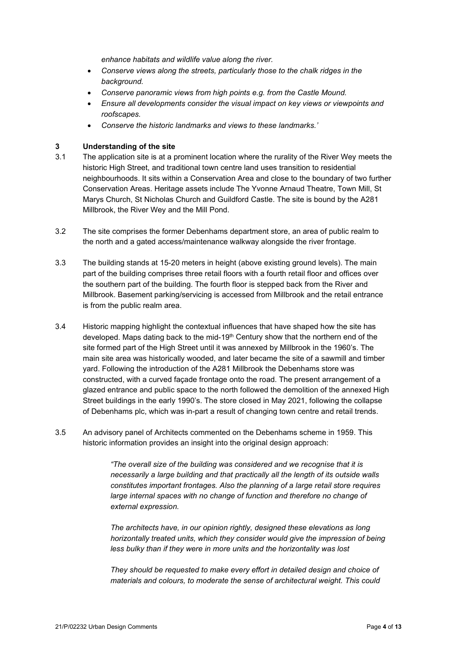*enhance habitats and wildlife value along the river.*

- *Conserve views along the streets, particularly those to the chalk ridges in the background.*
- *Conserve panoramic views from high points e.g. from the Castle Mound.*
- *Ensure all developments consider the visual impact on key views or viewpoints and roofscapes.*
- *Conserve the historic landmarks and views to these landmarks.'*

### **3 Understanding of the site**

- 3.1 The application site is at a prominent location where the rurality of the River Wey meets the historic High Street, and traditional town centre land uses transition to residential neighbourhoods. It sits within a Conservation Area and close to the boundary of two further Conservation Areas. Heritage assets include The Yvonne Arnaud Theatre, Town Mill, St Marys Church, St Nicholas Church and Guildford Castle. The site is bound by the A281 Millbrook, the River Wey and the Mill Pond.
- 3.2 The site comprises the former Debenhams department store, an area of public realm to the north and a gated access/maintenance walkway alongside the river frontage.
- 3.3 The building stands at 15-20 meters in height (above existing ground levels). The main part of the building comprises three retail floors with a fourth retail floor and offices over the southern part of the building. The fourth floor is stepped back from the River and Millbrook. Basement parking/servicing is accessed from Millbrook and the retail entrance is from the public realm area.
- 3.4 Historic mapping highlight the contextual influences that have shaped how the site has developed. Maps dating back to the mid-19<sup>th</sup> Century show that the northern end of the site formed part of the High Street until it was annexed by Millbrook in the 1960's. The main site area was historically wooded, and later became the site of a sawmill and timber yard. Following the introduction of the A281 Millbrook the Debenhams store was constructed, with a curved façade frontage onto the road. The present arrangement of a glazed entrance and public space to the north followed the demolition of the annexed High Street buildings in the early 1990's. The store closed in May 2021, following the collapse of Debenhams plc, which was in-part a result of changing town centre and retail trends.
- 3.5 An advisory panel of Architects commented on the Debenhams scheme in 1959. This historic information provides an insight into the original design approach:

*"The overall size of the building was considered and we recognise that it is necessarily a large building and that practically all the length of its outside walls constitutes important frontages. Also the planning of a large retail store requires large internal spaces with no change of function and therefore no change of external expression.*

*The architects have, in our opinion rightly, designed these elevations as long horizontally treated units, which they consider would give the impression of being less bulky than if they were in more units and the horizontality was lost* 

*They should be requested to make every effort in detailed design and choice of materials and colours, to moderate the sense of architectural weight. This could*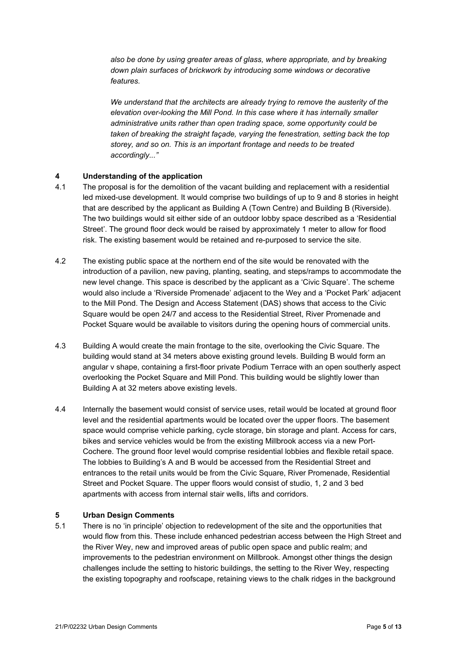*also be done by using greater areas of glass, where appropriate, and by breaking down plain surfaces of brickwork by introducing some windows or decorative features.*

*We understand that the architects are already trying to remove the austerity of the elevation over-looking the Mill Pond. In this case where it has internally smaller administrative units rather than open trading space, some opportunity could be taken of breaking the straight façade, varying the fenestration, setting back the top storey, and so on. This is an important frontage and needs to be treated accordingly..."*

### **4 Understanding of the application**

- 4.1 The proposal is for the demolition of the vacant building and replacement with a residential led mixed-use development. It would comprise two buildings of up to 9 and 8 stories in height that are described by the applicant as Building A (Town Centre) and Building B (Riverside). The two buildings would sit either side of an outdoor lobby space described as a 'Residential Street'. The ground floor deck would be raised by approximately 1 meter to allow for flood risk. The existing basement would be retained and re-purposed to service the site.
- 4.2 The existing public space at the northern end of the site would be renovated with the introduction of a pavilion, new paving, planting, seating, and steps/ramps to accommodate the new level change. This space is described by the applicant as a 'Civic Square'. The scheme would also include a 'Riverside Promenade' adjacent to the Wey and a 'Pocket Park' adjacent to the Mill Pond. The Design and Access Statement (DAS) shows that access to the Civic Square would be open 24/7 and access to the Residential Street, River Promenade and Pocket Square would be available to visitors during the opening hours of commercial units.
- 4.3 Building A would create the main frontage to the site, overlooking the Civic Square. The building would stand at 34 meters above existing ground levels. Building B would form an angular v shape, containing a first-floor private Podium Terrace with an open southerly aspect overlooking the Pocket Square and Mill Pond. This building would be slightly lower than Building A at 32 meters above existing levels.
- 4.4 Internally the basement would consist of service uses, retail would be located at ground floor level and the residential apartments would be located over the upper floors. The basement space would comprise vehicle parking, cycle storage, bin storage and plant. Access for cars, bikes and service vehicles would be from the existing Millbrook access via a new Port-Cochere. The ground floor level would comprise residential lobbies and flexible retail space. The lobbies to Building's A and B would be accessed from the Residential Street and entrances to the retail units would be from the Civic Square, River Promenade, Residential Street and Pocket Square. The upper floors would consist of studio, 1, 2 and 3 bed apartments with access from internal stair wells, lifts and corridors.

### **5 Urban Design Comments**

5.1 There is no 'in principle' objection to redevelopment of the site and the opportunities that would flow from this. These include enhanced pedestrian access between the High Street and the River Wey, new and improved areas of public open space and public realm; and improvements to the pedestrian environment on Millbrook. Amongst other things the design challenges include the setting to historic buildings, the setting to the River Wey, respecting the existing topography and roofscape, retaining views to the chalk ridges in the background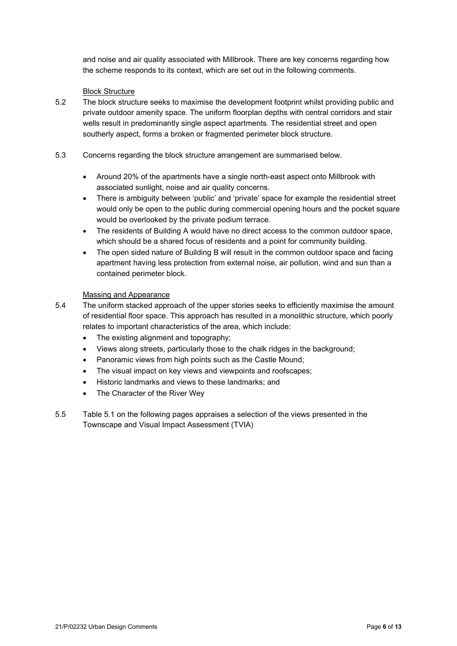and noise and air quality associated with Millbrook. There are key concerns regarding how the scheme responds to its context, which are set out in the following comments.

#### Block Structure

- 5.2 The block structure seeks to maximise the development footprint whilst providing public and private outdoor amenity space. The uniform floorplan depths with central corridors and stair wells result in predominantly single aspect apartments. The residential street and open southerly aspect, forms a broken or fragmented perimeter block structure.
- 5.3 Concerns regarding the block structure arrangement are summarised below.
	- Around 20% of the apartments have a single north-east aspect onto Millbrook with associated sunlight, noise and air quality concerns.
	- There is ambiguity between 'public' and 'private' space for example the residential street would only be open to the public during commercial opening hours and the pocket square would be overlooked by the private podium terrace.
	- The residents of Building A would have no direct access to the common outdoor space, which should be a shared focus of residents and a point for community building.
	- The open sided nature of Building B will result in the common outdoor space and facing apartment having less protection from external noise, air pollution, wind and sun than a contained perimeter block.

#### Massing and Appearance

- 5.4 The uniform stacked approach of the upper stories seeks to efficiently maximise the amount of residential floor space. This approach has resulted in a monolithic structure, which poorly relates to important characteristics of the area, which include:
	- The existing alignment and topography;
	- Views along streets, particularly those to the chalk ridges in the background;
	- Panoramic views from high points such as the Castle Mound;
	- The visual impact on key views and viewpoints and roofscapes;
	- Historic landmarks and views to these landmarks; and
	- The Character of the River Wey
- 5.5 Table 5.1 on the following pages appraises a selection of the views presented in the Townscape and Visual Impact Assessment (TVIA)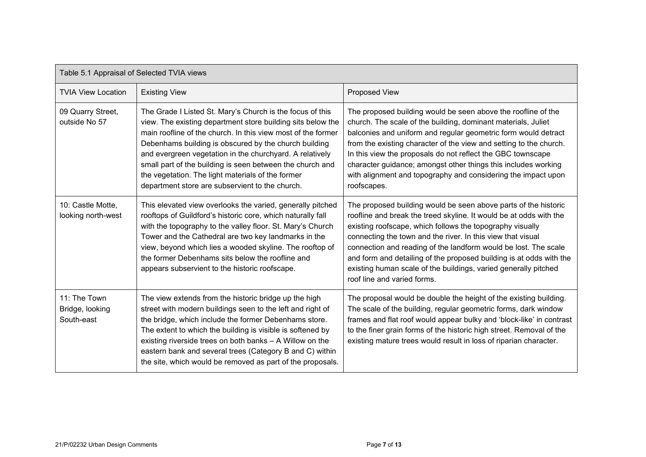| Table 5.1 Appraisal of Selected TVIA views    |                                                                                                                                                                                                                                                                                                                                                                                                                                                                                    |                                                                                                                                                                                                                                                                                                                                                                                                                                                                                                               |  |
|-----------------------------------------------|------------------------------------------------------------------------------------------------------------------------------------------------------------------------------------------------------------------------------------------------------------------------------------------------------------------------------------------------------------------------------------------------------------------------------------------------------------------------------------|---------------------------------------------------------------------------------------------------------------------------------------------------------------------------------------------------------------------------------------------------------------------------------------------------------------------------------------------------------------------------------------------------------------------------------------------------------------------------------------------------------------|--|
| <b>TVIA View Location</b>                     | <b>Existing View</b>                                                                                                                                                                                                                                                                                                                                                                                                                                                               | Proposed View                                                                                                                                                                                                                                                                                                                                                                                                                                                                                                 |  |
| 09 Quarry Street,<br>outside No 57            | The Grade I Listed St. Mary's Church is the focus of this<br>view. The existing department store building sits below the<br>main roofline of the church. In this view most of the former<br>Debenhams building is obscured by the church building<br>and evergreen vegetation in the churchyard. A relatively<br>small part of the building is seen between the church and<br>the vegetation. The light materials of the former<br>department store are subservient to the church. | The proposed building would be seen above the roofline of the<br>church. The scale of the building, dominant materials, Juliet<br>balconies and uniform and regular geometric form would detract<br>from the existing character of the view and setting to the church.<br>In this view the proposals do not reflect the GBC townscape<br>character guidance; amongst other things this includes working<br>with alignment and topography and considering the impact upon<br>roofscapes.                       |  |
| 10: Castle Motte,<br>looking north-west       | This elevated view overlooks the varied, generally pitched<br>rooftops of Guildford's historic core, which naturally fall<br>with the topography to the valley floor. St. Mary's Church<br>Tower and the Cathedral are two key landmarks in the<br>view, beyond which lies a wooded skyline. The rooftop of<br>the former Debenhams sits below the roofline and<br>appears subservient to the historic roofscape.                                                                  | The proposed building would be seen above parts of the historic<br>roofline and break the treed skyline. It would be at odds with the<br>existing roofscape, which follows the topography visually<br>connecting the town and the river. In this view that visual<br>connection and reading of the landform would be lost. The scale<br>and form and detailing of the proposed building is at odds with the<br>existing human scale of the buildings, varied generally pitched<br>roof line and varied forms. |  |
| 11: The Town<br>Bridge, looking<br>South-east | The view extends from the historic bridge up the high<br>street with modern buildings seen to the left and right of<br>the bridge, which include the former Debenhams store.<br>The extent to which the building is visible is softened by<br>existing riverside trees on both banks - A Willow on the<br>eastern bank and several trees (Category B and C) within<br>the site, which would be removed as part of the proposals.                                                   | The proposal would be double the height of the existing building.<br>The scale of the building, regular geometric forms, dark window<br>frames and flat roof would appear bulky and 'block-like' in contrast<br>to the finer grain forms of the historic high street. Removal of the<br>existing mature trees would result in loss of riparian character.                                                                                                                                                     |  |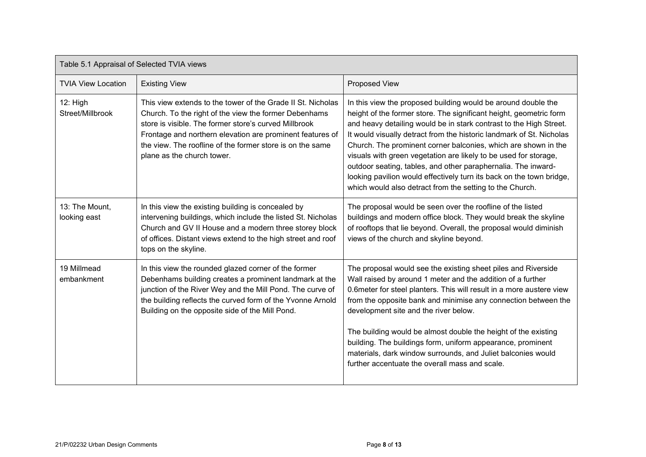| Table 5.1 Appraisal of Selected TVIA views |                                                                                                                                                                                                                                                                                                                                       |                                                                                                                                                                                                                                                                                                                                                                                                                                                                                                                                                                                                                              |  |
|--------------------------------------------|---------------------------------------------------------------------------------------------------------------------------------------------------------------------------------------------------------------------------------------------------------------------------------------------------------------------------------------|------------------------------------------------------------------------------------------------------------------------------------------------------------------------------------------------------------------------------------------------------------------------------------------------------------------------------------------------------------------------------------------------------------------------------------------------------------------------------------------------------------------------------------------------------------------------------------------------------------------------------|--|
| <b>TVIA View Location</b>                  | <b>Existing View</b>                                                                                                                                                                                                                                                                                                                  | Proposed View                                                                                                                                                                                                                                                                                                                                                                                                                                                                                                                                                                                                                |  |
| 12: High<br>Street/Millbrook               | This view extends to the tower of the Grade II St. Nicholas<br>Church. To the right of the view the former Debenhams<br>store is visible. The former store's curved Millbrook<br>Frontage and northern elevation are prominent features of<br>the view. The roofline of the former store is on the same<br>plane as the church tower. | In this view the proposed building would be around double the<br>height of the former store. The significant height, geometric form<br>and heavy detailing would be in stark contrast to the High Street.<br>It would visually detract from the historic landmark of St. Nicholas<br>Church. The prominent corner balconies, which are shown in the<br>visuals with green vegetation are likely to be used for storage,<br>outdoor seating, tables, and other paraphernalia. The inward-<br>looking pavilion would effectively turn its back on the town bridge,<br>which would also detract from the setting to the Church. |  |
| 13: The Mount,<br>looking east             | In this view the existing building is concealed by<br>intervening buildings, which include the listed St. Nicholas<br>Church and GV II House and a modern three storey block<br>of offices. Distant views extend to the high street and roof<br>tops on the skyline.                                                                  | The proposal would be seen over the roofline of the listed<br>buildings and modern office block. They would break the skyline<br>of rooftops that lie beyond. Overall, the proposal would diminish<br>views of the church and skyline beyond.                                                                                                                                                                                                                                                                                                                                                                                |  |
| 19 Millmead<br>embankment                  | In this view the rounded glazed corner of the former<br>Debenhams building creates a prominent landmark at the<br>junction of the River Wey and the Mill Pond. The curve of<br>the building reflects the curved form of the Yvonne Arnold<br>Building on the opposite side of the Mill Pond.                                          | The proposal would see the existing sheet piles and Riverside<br>Wall raised by around 1 meter and the addition of a further<br>0.6meter for steel planters. This will result in a more austere view<br>from the opposite bank and minimise any connection between the<br>development site and the river below.<br>The building would be almost double the height of the existing<br>building. The buildings form, uniform appearance, prominent<br>materials, dark window surrounds, and Juliet balconies would<br>further accentuate the overall mass and scale.                                                           |  |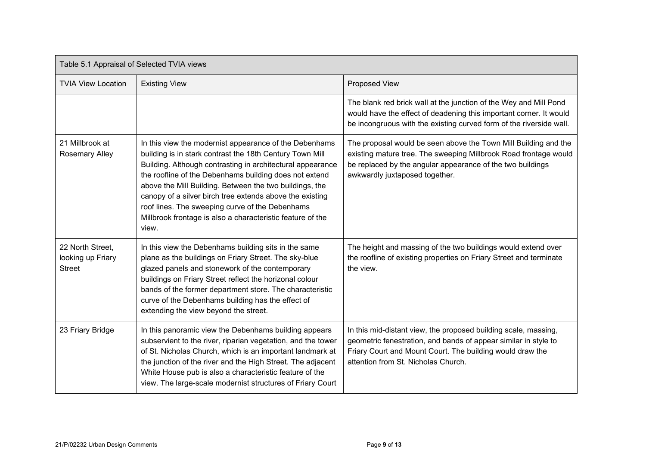| Table 5.1 Appraisal of Selected TVIA views             |                                                                                                                                                                                                                                                                                                                                                                                                                                                                                             |                                                                                                                                                                                                                                        |  |
|--------------------------------------------------------|---------------------------------------------------------------------------------------------------------------------------------------------------------------------------------------------------------------------------------------------------------------------------------------------------------------------------------------------------------------------------------------------------------------------------------------------------------------------------------------------|----------------------------------------------------------------------------------------------------------------------------------------------------------------------------------------------------------------------------------------|--|
| <b>TVIA View Location</b>                              | <b>Existing View</b>                                                                                                                                                                                                                                                                                                                                                                                                                                                                        | Proposed View                                                                                                                                                                                                                          |  |
|                                                        |                                                                                                                                                                                                                                                                                                                                                                                                                                                                                             | The blank red brick wall at the junction of the Wey and Mill Pond<br>would have the effect of deadening this important corner. It would<br>be incongruous with the existing curved form of the riverside wall.                         |  |
| 21 Millbrook at<br><b>Rosemary Alley</b>               | In this view the modernist appearance of the Debenhams<br>building is in stark contrast the 18th Century Town Mill<br>Building. Although contrasting in architectural appearance<br>the roofline of the Debenhams building does not extend<br>above the Mill Building. Between the two buildings, the<br>canopy of a silver birch tree extends above the existing<br>roof lines. The sweeping curve of the Debenhams<br>Millbrook frontage is also a characteristic feature of the<br>view. | The proposal would be seen above the Town Mill Building and the<br>existing mature tree. The sweeping Millbrook Road frontage would<br>be replaced by the angular appearance of the two buildings<br>awkwardly juxtaposed together.    |  |
| 22 North Street,<br>looking up Friary<br><b>Street</b> | In this view the Debenhams building sits in the same<br>plane as the buildings on Friary Street. The sky-blue<br>glazed panels and stonework of the contemporary<br>buildings on Friary Street reflect the horizonal colour<br>bands of the former department store. The characteristic<br>curve of the Debenhams building has the effect of<br>extending the view beyond the street.                                                                                                       | The height and massing of the two buildings would extend over<br>the roofline of existing properties on Friary Street and terminate<br>the view.                                                                                       |  |
| 23 Friary Bridge                                       | In this panoramic view the Debenhams building appears<br>subservient to the river, riparian vegetation, and the tower<br>of St. Nicholas Church, which is an important landmark at<br>the junction of the river and the High Street. The adjacent<br>White House pub is also a characteristic feature of the<br>view. The large-scale modernist structures of Friary Court                                                                                                                  | In this mid-distant view, the proposed building scale, massing,<br>geometric fenestration, and bands of appear similar in style to<br>Friary Court and Mount Court. The building would draw the<br>attention from St. Nicholas Church. |  |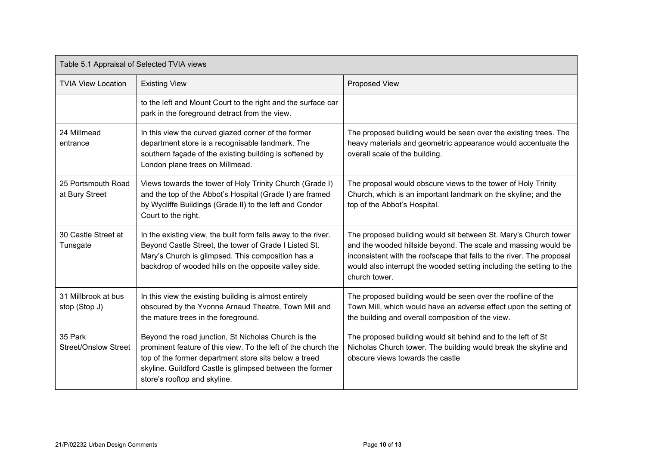| Table 5.1 Appraisal of Selected TVIA views |                                                                                                                                                                                                                                                                           |                                                                                                                                                                                                                                                                                                     |  |
|--------------------------------------------|---------------------------------------------------------------------------------------------------------------------------------------------------------------------------------------------------------------------------------------------------------------------------|-----------------------------------------------------------------------------------------------------------------------------------------------------------------------------------------------------------------------------------------------------------------------------------------------------|--|
| <b>TVIA View Location</b>                  | <b>Existing View</b>                                                                                                                                                                                                                                                      | Proposed View                                                                                                                                                                                                                                                                                       |  |
|                                            | to the left and Mount Court to the right and the surface car<br>park in the foreground detract from the view.                                                                                                                                                             |                                                                                                                                                                                                                                                                                                     |  |
| 24 Millmead<br>entrance                    | In this view the curved glazed corner of the former<br>department store is a recognisable landmark. The<br>southern façade of the existing building is softened by<br>London plane trees on Millmead.                                                                     | The proposed building would be seen over the existing trees. The<br>heavy materials and geometric appearance would accentuate the<br>overall scale of the building.                                                                                                                                 |  |
| 25 Portsmouth Road<br>at Bury Street       | Views towards the tower of Holy Trinity Church (Grade I)<br>and the top of the Abbot's Hospital (Grade I) are framed<br>by Wycliffe Buildings (Grade II) to the left and Condor<br>Court to the right.                                                                    | The proposal would obscure views to the tower of Holy Trinity<br>Church, which is an important landmark on the skyline; and the<br>top of the Abbot's Hospital.                                                                                                                                     |  |
| 30 Castle Street at<br>Tunsgate            | In the existing view, the built form falls away to the river.<br>Beyond Castle Street, the tower of Grade I Listed St.<br>Mary's Church is glimpsed. This composition has a<br>backdrop of wooded hills on the opposite valley side.                                      | The proposed building would sit between St. Mary's Church tower<br>and the wooded hillside beyond. The scale and massing would be<br>inconsistent with the roofscape that falls to the river. The proposal<br>would also interrupt the wooded setting including the setting to the<br>church tower. |  |
| 31 Millbrook at bus<br>stop (Stop J)       | In this view the existing building is almost entirely<br>obscured by the Yvonne Arnaud Theatre, Town Mill and<br>the mature trees in the foreground.                                                                                                                      | The proposed building would be seen over the roofline of the<br>Town Mill, which would have an adverse effect upon the setting of<br>the building and overall composition of the view.                                                                                                              |  |
| 35 Park<br><b>Street/Onslow Street</b>     | Beyond the road junction, St Nicholas Church is the<br>prominent feature of this view. To the left of the church the<br>top of the former department store sits below a treed<br>skyline. Guildford Castle is glimpsed between the former<br>store's rooftop and skyline. | The proposed building would sit behind and to the left of St<br>Nicholas Church tower. The building would break the skyline and<br>obscure views towards the castle                                                                                                                                 |  |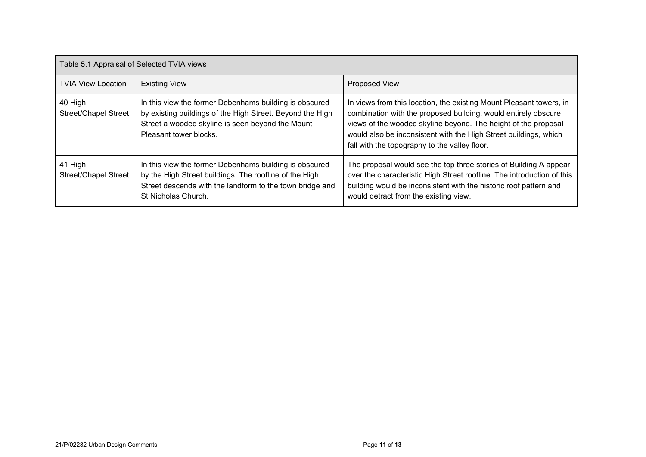| Table 5.1 Appraisal of Selected TVIA views |                                                                                                                                                                                                     |                                                                                                                                                                                                                                                                                                                              |  |
|--------------------------------------------|-----------------------------------------------------------------------------------------------------------------------------------------------------------------------------------------------------|------------------------------------------------------------------------------------------------------------------------------------------------------------------------------------------------------------------------------------------------------------------------------------------------------------------------------|--|
| <b>TVIA View Location</b>                  | <b>Existing View</b>                                                                                                                                                                                | Proposed View                                                                                                                                                                                                                                                                                                                |  |
| 40 High<br><b>Street/Chapel Street</b>     | In this view the former Debenhams building is obscured<br>by existing buildings of the High Street. Beyond the High<br>Street a wooded skyline is seen beyond the Mount<br>Pleasant tower blocks.   | In views from this location, the existing Mount Pleasant towers, in<br>combination with the proposed building, would entirely obscure<br>views of the wooded skyline beyond. The height of the proposal<br>would also be inconsistent with the High Street buildings, which<br>fall with the topography to the valley floor. |  |
| 41 High<br><b>Street/Chapel Street</b>     | In this view the former Debenhams building is obscured<br>by the High Street buildings. The roofline of the High<br>Street descends with the landform to the town bridge and<br>St Nicholas Church. | The proposal would see the top three stories of Building A appear<br>over the characteristic High Street roofline. The introduction of this<br>building would be inconsistent with the historic roof pattern and<br>would detract from the existing view.                                                                    |  |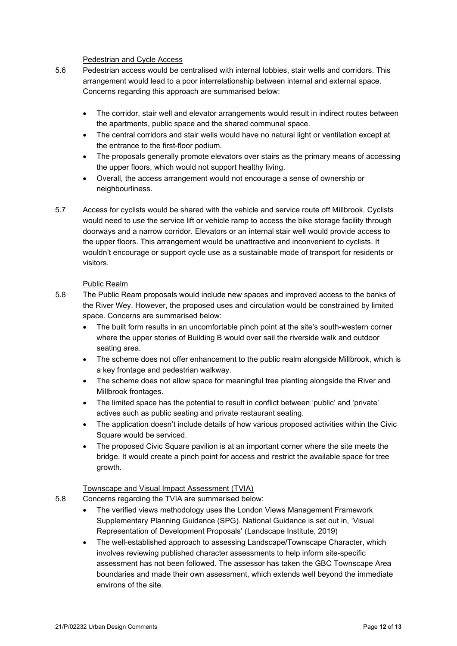#### Pedestrian and Cycle Access

- 5.6 Pedestrian access would be centralised with internal lobbies, stair wells and corridors. This arrangement would lead to a poor interrelationship between internal and external space. Concerns regarding this approach are summarised below:
	- The corridor, stair well and elevator arrangements would result in indirect routes between the apartments, public space and the shared communal space.
	- The central corridors and stair wells would have no natural light or ventilation except at the entrance to the first-floor podium.
	- The proposals generally promote elevators over stairs as the primary means of accessing the upper floors, which would not support healthy living.
	- Overall, the access arrangement would not encourage a sense of ownership or neighbourliness.
- 5.7 Access for cyclists would be shared with the vehicle and service route off Millbrook. Cyclists would need to use the service lift or vehicle ramp to access the bike storage facility through doorways and a narrow corridor. Elevators or an internal stair well would provide access to the upper floors. This arrangement would be unattractive and inconvenient to cyclists. It wouldn't encourage or support cycle use as a sustainable mode of transport for residents or visitors.

### Public Realm

- 5.8 The Public Ream proposals would include new spaces and improved access to the banks of the River Wey. However, the proposed uses and circulation would be constrained by limited space. Concerns are summarised below:
	- The built form results in an uncomfortable pinch point at the site's south-western corner where the upper stories of Building B would over sail the riverside walk and outdoor seating area.
	- The scheme does not offer enhancement to the public realm alongside Millbrook, which is a key frontage and pedestrian walkway.
	- The scheme does not allow space for meaningful tree planting alongside the River and Millbrook frontages.
	- The limited space has the potential to result in conflict between 'public' and 'private' actives such as public seating and private restaurant seating.
	- The application doesn't include details of how various proposed activities within the Civic Square would be serviced.
	- The proposed Civic Square pavilion is at an important corner where the site meets the bridge. It would create a pinch point for access and restrict the available space for tree growth.

### Townscape and Visual Impact Assessment (TVIA)

- 5.8 Concerns regarding the TVIA are summarised below:
	- The verified views methodology uses the London Views Management Framework Supplementary Planning Guidance (SPG). National Guidance is set out in, 'Visual Representation of Development Proposals' (Landscape Institute, 2019)
	- The well-established approach to assessing Landscape/Townscape Character, which involves reviewing published character assessments to help inform site-specific assessment has not been followed. The assessor has taken the GBC Townscape Area boundaries and made their own assessment, which extends well beyond the immediate environs of the site.